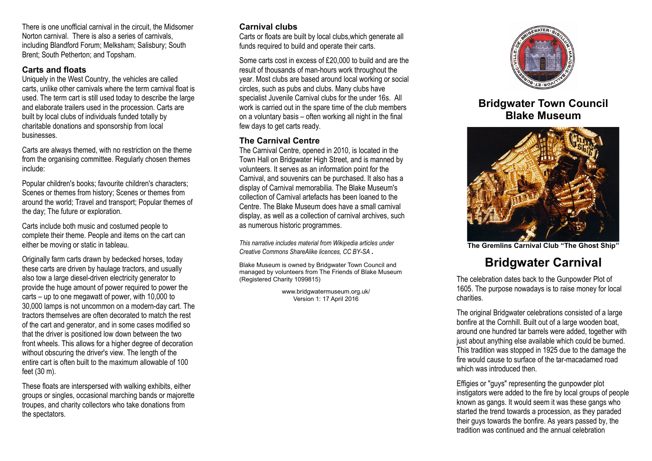There is one unofficial carnival in the circuit, the Midsomer Norton carnival. There is also a series of carnivals, including Blandford Forum; Melksham; Salisbury; South Brent; South Petherton; and Topsham.

#### **Carts and floats**

Uniquely in the West Country, the vehicles are called carts, unlike other carnivals where the term carnival float is used. The term cart is still used today to describe the large and elaborate trailers used in the procession. Carts are built by local clubs of individuals funded totally by charitable donations and sponsorship from local businesses.

Carts are always themed, with no restriction on the theme from the organising committee. Regularly chosen themes include:

Popular children's books; favourite children's characters; Scenes or themes from history; Scenes or themes from around the world; Travel and transport; Popular themes of the day; The future or exploration.

Carts include both music and costumed people to complete their theme. People and items on the cart can either be moving or static in tableau.

Originally farm carts drawn by bedecked horses, today these carts are driven by haulage tractors, and usually also tow a large diesel-driven electricity generator to provide the huge amount of power required to power the carts – up to one megawatt of power, with 10,000 to 30,000 lamps is not uncommon on a modern-day cart. The tractors themselves are often decorated to match the rest of the cart and generator, and in some cases modified so that the driver is positioned low down between the two front wheels. This allows for a higher degree of decoration without obscuring the driver's view. The length of the entire cart is often built to the maximum allowable of 100 feet (30 m).

These floats are interspersed with walking exhibits, either groups or singles, occasional marching bands or majorette troupes, and charity collectors who take donations from the spectators.

# **Carnival clubs**

Carts or floats are built by local clubs,which generate all funds required to build and operate their carts.

Some carts cost in excess of £20,000 to build and are the result of thousands of man-hours work throughout the year. Most clubs are based around local working or social circles, such as pubs and clubs. Many clubs have specialist Juvenile Carnival clubs for the under 16s. All work is carried out in the spare time of the club members on a voluntary basis – often working all night in the final few days to get carts ready.

# **The Carnival Centre**

The Carnival Centre, opened in 2010, is located in the Town Hall on Bridgwater High Street, and is manned by volunteers. It serves as an information point for the Carnival, and souvenirs can be purchased. It also has a display of Carnival memorabilia. The Blake Museum's collection of Carnival artefacts has been loaned to the Centre. The Blake Museum does have a small carnival display, as well as a collection of carnival archives, such as numerous historic programmes.

*This narrative includes material from Wikipedia articles under Creative Commons ShareAlike licences, CC BY-SA .*

Blake Museum is owned by Bridgwater Town Council and managed by volunteers from The Friends of Blake Museum (Registered Charity 1099815)

> www.bridgwatermuseum.org.uk/ Version 1: 17 April 2016



# **Bridgwater Town Council Blake Museum**



**The Gremlins Carnival Club "The Ghost Ship"**

# **Bridgwater Carnival**

The celebration dates back to the Gunpowder Plot of 1605. The purpose nowadays is to raise money for local charities.

The original Bridgwater celebrations consisted of a large bonfire at the Cornhill. Built out of a large wooden boat, around one hundred tar barrels were added, together with just about anything else available which could be burned. This tradition was stopped in 1925 due to the damage the fire would cause to surface of the tar-macadamed road which was introduced then.

Effigies or "guys" representing the gunpowder plot instigators were added to the fire by local groups of people known as gangs. It would seem it was these gangs who started the trend towards a procession, as they paraded their guys towards the bonfire. As years passed by, the tradition was continued and the annual celebration